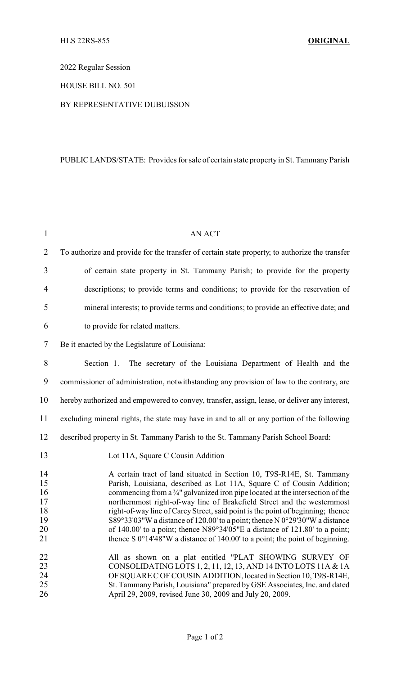2022 Regular Session

HOUSE BILL NO. 501

## BY REPRESENTATIVE DUBUISSON

## PUBLIC LANDS/STATE: Provides for sale of certain state property in St. Tammany Parish

| $\mathbf{1}$                                 | <b>AN ACT</b>                                                                                                                                                                                                                                                                                                                                                                                                                                                                                                                                                                                                                                                     |
|----------------------------------------------|-------------------------------------------------------------------------------------------------------------------------------------------------------------------------------------------------------------------------------------------------------------------------------------------------------------------------------------------------------------------------------------------------------------------------------------------------------------------------------------------------------------------------------------------------------------------------------------------------------------------------------------------------------------------|
| $\overline{2}$                               | To authorize and provide for the transfer of certain state property, to authorize the transfer                                                                                                                                                                                                                                                                                                                                                                                                                                                                                                                                                                    |
| 3                                            | of certain state property in St. Tammany Parish; to provide for the property                                                                                                                                                                                                                                                                                                                                                                                                                                                                                                                                                                                      |
| $\overline{4}$                               | descriptions; to provide terms and conditions; to provide for the reservation of                                                                                                                                                                                                                                                                                                                                                                                                                                                                                                                                                                                  |
| 5                                            | mineral interests; to provide terms and conditions; to provide an effective date; and                                                                                                                                                                                                                                                                                                                                                                                                                                                                                                                                                                             |
| 6                                            | to provide for related matters.                                                                                                                                                                                                                                                                                                                                                                                                                                                                                                                                                                                                                                   |
| 7                                            | Be it enacted by the Legislature of Louisiana:                                                                                                                                                                                                                                                                                                                                                                                                                                                                                                                                                                                                                    |
| 8                                            | Section 1. The secretary of the Louisiana Department of Health and the                                                                                                                                                                                                                                                                                                                                                                                                                                                                                                                                                                                            |
| 9                                            | commissioner of administration, notwithstanding any provision of law to the contrary, are                                                                                                                                                                                                                                                                                                                                                                                                                                                                                                                                                                         |
| 10                                           | hereby authorized and empowered to convey, transfer, assign, lease, or deliver any interest,                                                                                                                                                                                                                                                                                                                                                                                                                                                                                                                                                                      |
| 11                                           | excluding mineral rights, the state may have in and to all or any portion of the following                                                                                                                                                                                                                                                                                                                                                                                                                                                                                                                                                                        |
| 12                                           | described property in St. Tammany Parish to the St. Tammany Parish School Board:                                                                                                                                                                                                                                                                                                                                                                                                                                                                                                                                                                                  |
| 13                                           | Lot 11A, Square C Cousin Addition                                                                                                                                                                                                                                                                                                                                                                                                                                                                                                                                                                                                                                 |
| 14<br>15<br>16<br>17<br>18<br>19<br>20<br>21 | A certain tract of land situated in Section 10, T9S-R14E, St. Tammany<br>Parish, Louisiana, described as Lot 11A, Square C of Cousin Addition;<br>commencing from a $\frac{3}{4}$ " galvanized iron pipe located at the intersection of the<br>northernmost right-of-way line of Brakefield Street and the westernmost<br>right-of-way line of Carey Street, said point is the point of beginning; thence<br>S89°33'03"W a distance of 120.00' to a point; thence N 0°29'30"W a distance<br>of 140.00' to a point; thence N89°34'05"E a distance of 121.80' to a point;<br>thence S $0^{\circ}14'48''W$ a distance of 140.00' to a point; the point of beginning. |
| 22<br>23<br>24<br>25<br>26                   | All as shown on a plat entitled "PLAT SHOWING SURVEY OF<br>CONSOLIDATING LOTS 1, 2, 11, 12, 13, AND 14 INTO LOTS 11A & 1A<br>OF SQUARE C OF COUSIN ADDITION, located in Section 10, T9S-R14E,<br>St. Tammany Parish, Louisiana" prepared by GSE Associates, Inc. and dated<br>April 29, 2009, revised June 30, 2009 and July 20, 2009.                                                                                                                                                                                                                                                                                                                            |